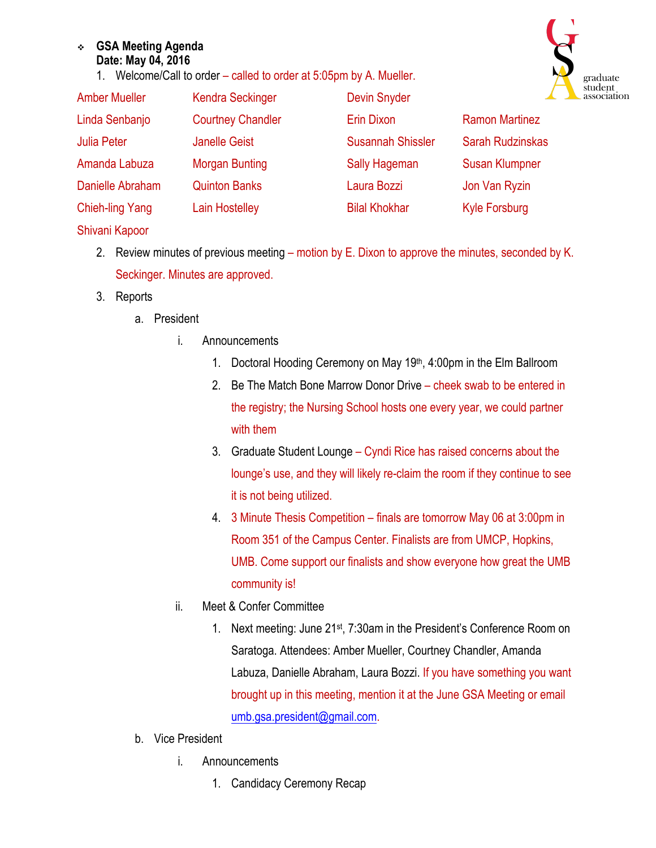## <sup>v</sup> **GSA Meeting Agenda Date: May 04, 2016**

1. Welcome/Call to order – called to order at 5:05pm by A. Mueller.



| <b>Amber Mueller</b>   | <b>Kendra Seckinger</b>  | <b>Devin Snyder</b>      |                       |
|------------------------|--------------------------|--------------------------|-----------------------|
| Linda Senbanjo         | <b>Courtney Chandler</b> | Erin Dixon               | <b>Ramon Martinez</b> |
| <b>Julia Peter</b>     | <b>Janelle Geist</b>     | <b>Susannah Shissler</b> | Sarah Rudzinskas      |
| Amanda Labuza          | <b>Morgan Bunting</b>    | Sally Hageman            | <b>Susan Klumpner</b> |
| Danielle Abraham       | <b>Quinton Banks</b>     | Laura Bozzi              | Jon Van Ryzin         |
| <b>Chieh-ling Yang</b> | Lain Hostelley           | <b>Bilal Khokhar</b>     | <b>Kyle Forsburg</b>  |
| Shivani Kapoor         |                          |                          |                       |

- 2. Review minutes of previous meeting motion by E. Dixon to approve the minutes, seconded by K. Seckinger. Minutes are approved.
- 3. Reports
	- a. President
		- i. Announcements
			- 1. Doctoral Hooding Ceremony on May 19<sup>th</sup>, 4:00pm in the Elm Ballroom
			- 2. Be The Match Bone Marrow Donor Drive cheek swab to be entered in the registry; the Nursing School hosts one every year, we could partner with them
			- 3. Graduate Student Lounge Cyndi Rice has raised concerns about the lounge's use, and they will likely re-claim the room if they continue to see it is not being utilized.
			- 4. 3 Minute Thesis Competition finals are tomorrow May 06 at 3:00pm in Room 351 of the Campus Center. Finalists are from UMCP, Hopkins, UMB. Come support our finalists and show everyone how great the UMB community is!
		- ii. Meet & Confer Committee
			- 1. Next meeting: June 21st, 7:30am in the President's Conference Room on Saratoga. Attendees: Amber Mueller, Courtney Chandler, Amanda Labuza, Danielle Abraham, Laura Bozzi. If you have something you want brought up in this meeting, mention it at the June GSA Meeting or email umb.gsa.president@gmail.com.
	- b. Vice President
		- i. Announcements
			- 1. Candidacy Ceremony Recap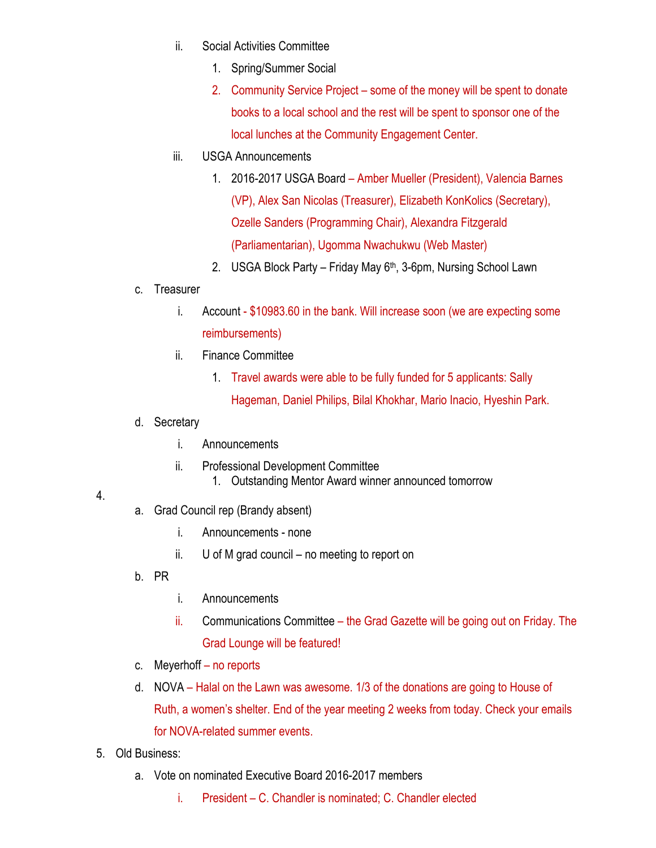- ii. Social Activities Committee
	- 1. Spring/Summer Social
	- 2. Community Service Project some of the money will be spent to donate books to a local school and the rest will be spent to sponsor one of the local lunches at the Community Engagement Center.
- iii. USGA Announcements
	- 1. 2016-2017 USGA Board Amber Mueller (President), Valencia Barnes (VP), Alex San Nicolas (Treasurer), Elizabeth KonKolics (Secretary), Ozelle Sanders (Programming Chair), Alexandra Fitzgerald (Parliamentarian), Ugomma Nwachukwu (Web Master)
	- 2. USGA Block Party Friday May 6th, 3-6pm, Nursing School Lawn
- c. Treasurer
	- i. Account \$10983.60 in the bank. Will increase soon (we are expecting some reimbursements)
	- ii. Finance Committee
		- 1. Travel awards were able to be fully funded for 5 applicants: Sally Hageman, Daniel Philips, Bilal Khokhar, Mario Inacio, Hyeshin Park.
- d. Secretary
	- i. Announcements
	- ii. Professional Development Committee
		- 1. Outstanding Mentor Award winner announced tomorrow

## 4.

- a. Grad Council rep (Brandy absent)
	- i. Announcements none
	- ii. U of M grad council no meeting to report on
- b. PR
- i. Announcements
- ii. Communications Committee the Grad Gazette will be going out on Friday. The Grad Lounge will be featured!
- c. Meyerhoff no reports
- d. NOVA Halal on the Lawn was awesome. 1/3 of the donations are going to House of Ruth, a women's shelter. End of the year meeting 2 weeks from today. Check your emails for NOVA-related summer events.
- 5. Old Business:
	- a. Vote on nominated Executive Board 2016-2017 members
		- i. President C. Chandler is nominated; C. Chandler elected